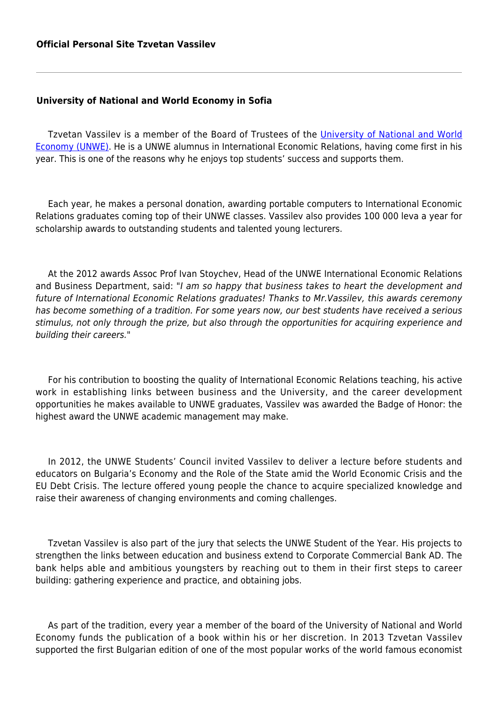## **University of National and World Economy in Sofia**

Tzvetan Vassilev is a member of the Board of Trustees of the [University of National and World](http://www.unwe.bg/en/) [Economy \(UNWE\).](http://www.unwe.bg/en/) He is a UNWE alumnus in International Economic Relations, having come first in his year. This is one of the reasons why he enjoys top students' success and supports them.

Each year, he makes a personal donation, awarding portable computers to International Economic Relations graduates coming top of their UNWE classes. Vassilev also provides 100 000 leva a year for scholarship awards to outstanding students and talented young lecturers.

At the 2012 awards Assoc Prof Ivan Stoychev, Head of the UNWE International Economic Relations and Business Department, said: "I am so happy that business takes to heart the development and future of International Economic Relations graduates! Thanks to Mr.Vassilev, this awards ceremony has become something of a tradition. For some years now, our best students have received a serious stimulus, not only through the prize, but also through the opportunities for acquiring experience and building their careers."

For his contribution to boosting the quality of International Economic Relations teaching, his active work in establishing links between business and the University, and the career development opportunities he makes available to UNWE graduates, Vassilev was awarded the Badge of Honor: the highest award the UNWE academic management may make.

In 2012, the UNWE Students' Council invited Vassilev to deliver a lecture before students and educators on Bulgaria's Economy and the Role of the State amid the World Economic Crisis and the EU Debt Crisis. The lecture offered young people the chance to acquire specialized knowledge and raise their awareness of changing environments and coming challenges.

Tzvetan Vassilev is also part of the jury that selects the UNWE Student of the Year. His projects to strengthen the links between education and business extend to Corporate Commercial Bank AD. The bank helps able and ambitious youngsters by reaching out to them in their first steps to career building: gathering experience and practice, and obtaining jobs.

As part of the tradition, every year a member of the board of the University of National and World Economy funds the publication of a book within his or her discretion. In 2013 Tzvetan Vassilev supported the first Bulgarian edition of one of the most popular works of the world famous economist